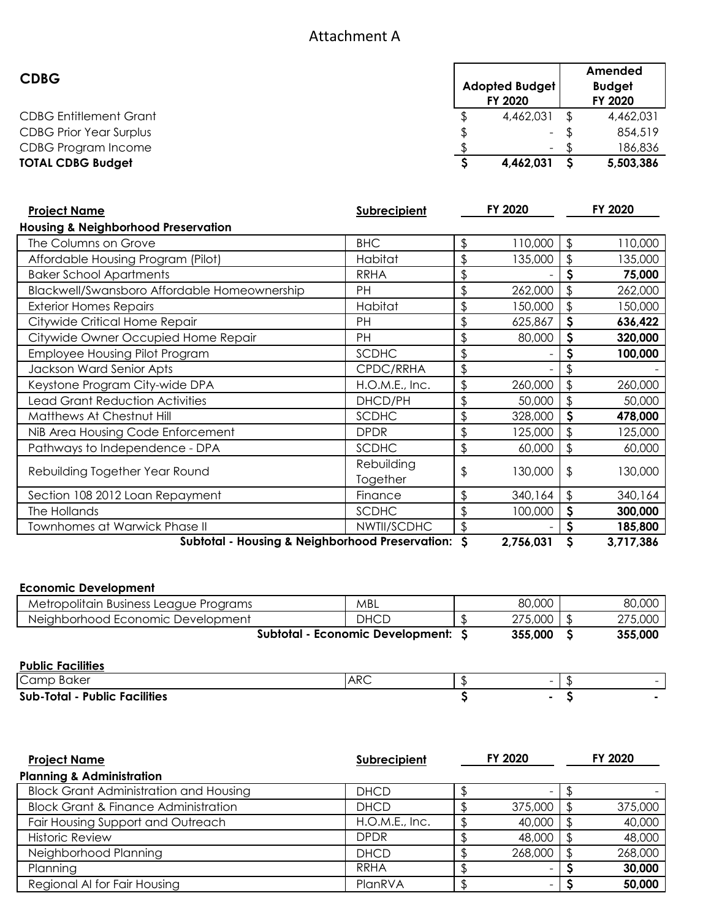# Attachment A

| <b>CDBG</b>                    | <b>Adopted Budget</b><br>FY 2020 | Amended<br><b>Budget</b><br>FY 2020 |
|--------------------------------|----------------------------------|-------------------------------------|
| <b>CDBG Entitlement Grant</b>  | 4,462,031                        | 4,462,031                           |
| <b>CDBG Prior Year Surplus</b> | $\sim$                           | 854,519                             |
| CDBG Program Income            | $\overline{\phantom{a}}$         | 186,836                             |
| <b>TOTAL CDBG Budget</b>       | 4,462,031                        | 5,503,386                           |

| <b>Project Name</b>                                | <b>Subrecipient</b>    |                | FY 2020 |           | FY 2020 |
|----------------------------------------------------|------------------------|----------------|---------|-----------|---------|
| <b>Housing &amp; Neighborhood Preservation</b>     |                        |                |         |           |         |
| The Columns on Grove                               | <b>BHC</b>             | $\frac{1}{2}$  | 110,000 | \$        | 110,000 |
| Affordable Housing Program (Pilot)                 | Habitat                | $\frac{1}{2}$  | 135,000 | \$        | 135,000 |
| <b>Baker School Apartments</b>                     | <b>RRHA</b>            | $\frac{1}{2}$  |         | \$        | 75,000  |
| Blackwell/Swansboro Affordable Homeownership       | PH                     | $\mathfrak{D}$ | 262,000 | \$        | 262,000 |
| <b>Exterior Homes Repairs</b>                      | Habitat                | \$             | 150,000 | \$        | 150,000 |
| Citywide Critical Home Repair                      | PH                     | $\frac{1}{2}$  | 625,867 | \$        | 636,422 |
| Citywide Owner Occupied Home Repair                | PH                     | $\frac{1}{2}$  | 80,000  | \$        | 320,000 |
| <b>Employee Housing Pilot Program</b>              | <b>SCDHC</b>           | $\frac{1}{2}$  |         | S         | 100,000 |
| Jackson Ward Senior Apts                           | CPDC/RRHA              | $\frac{1}{2}$  |         |           |         |
| Keystone Program City-wide DPA                     | H.O.M.E., Inc.         | $\frac{1}{2}$  | 260,000 | \$        | 260,000 |
| <b>Lead Grant Reduction Activities</b>             | DHCD/PH                | $\frac{1}{2}$  | 50,000  | \$        | 50,000  |
| Matthews At Chestnut Hill                          | <b>SCDHC</b>           | $\frac{1}{2}$  | 328,000 | \$        | 478,000 |
| NiB Area Housing Code Enforcement                  | <b>DPDR</b>            | $\frac{1}{2}$  | 125,000 | \$        | 125,000 |
| Pathways to Independence - DPA                     | <b>SCDHC</b>           | $\mathfrak{D}$ | 60,000  | \$        | 60,000  |
| Rebuilding Together Year Round                     | Rebuilding<br>Together | $\frac{1}{2}$  | 130,000 | \$        | 130,000 |
| Section 108 2012 Loan Repayment                    | Finance                | $\frac{1}{2}$  | 340,164 | \$        | 340,164 |
| The Hollands                                       | <b>SCDHC</b>           | \$             | 100,000 | \$        | 300,000 |
| <b>Townhomes at Warwick Phase II</b>               | NWTII/SCDHC            | $\frac{1}{2}$  |         | \$        | 185,800 |
| Subtotal - Housing & Neighborhood Preservation: \$ |                        | 2,756,031      | \$      | 3,717,386 |         |

#### **Economic Development**

| <b>LUDITING DEVENUPING!!!</b>          |                                    |         |         |
|----------------------------------------|------------------------------------|---------|---------|
| Metropolitain Business League Programs | MBL                                | 80,000  | 80,000  |
| Neighborhood Economic Development      | <b>DHCD</b>                        | 275,000 | 275,000 |
|                                        | Subtotal - Economic Development: S | 355,000 | 355,000 |
| <b>Public Facilities</b>               |                                    |         |         |
|                                        |                                    |         |         |
| Camp Baker                             | <b>ARC</b>                         | -       |         |
| <b>Sub-Total - Public Facilities</b>   |                                    | ۰       |         |
|                                        |                                    |         |         |

| <b>Sub-Total - Public Facilities</b> |  |
|--------------------------------------|--|
|--------------------------------------|--|

| <b>Project Name</b>                             | Subrecipient   | FY 2020 |         | FY 2020 |         |
|-------------------------------------------------|----------------|---------|---------|---------|---------|
| <b>Planning &amp; Administration</b>            |                |         |         |         |         |
| <b>Block Grant Administration and Housing</b>   | <b>DHCD</b>    |         | -       |         |         |
| <b>Block Grant &amp; Finance Administration</b> | <b>DHCD</b>    |         | 375,000 |         | 375,000 |
| Fair Housing Support and Outreach               | H.O.M.E., Inc. |         | 40,000  |         | 40,000  |
| <b>Historic Review</b>                          | <b>DPDR</b>    |         | 48,000  |         | 48,000  |
| Neighborhood Planning                           | <b>DHCD</b>    |         | 268,000 |         | 268,000 |
| Planning                                        | <b>RRHA</b>    |         |         |         | 30,000  |
| Regional AI for Fair Housing                    | PlanRVA        |         |         |         | 50,000  |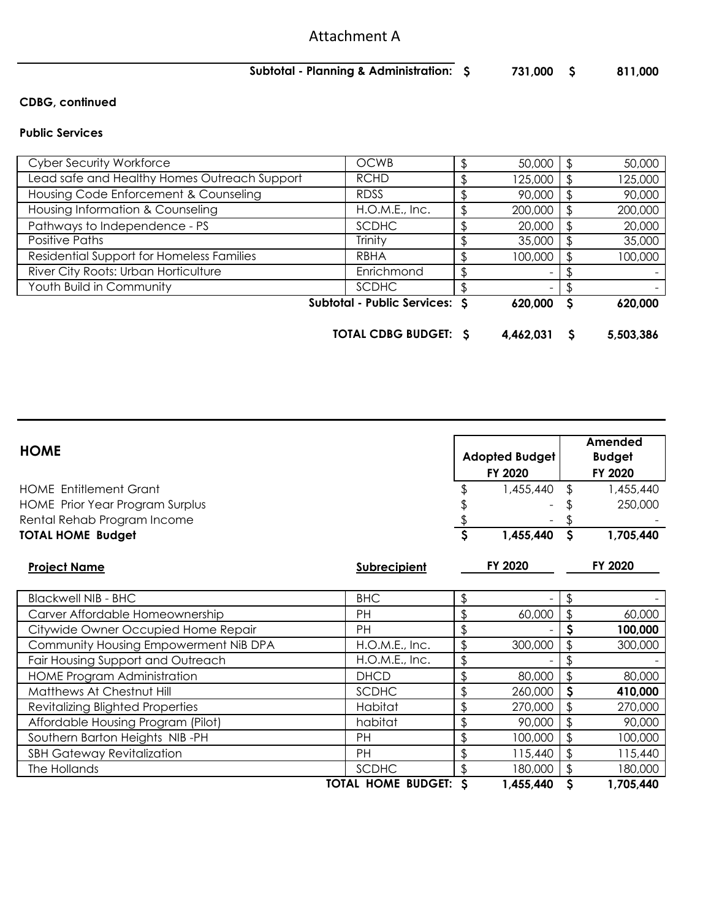# Attachment A

## **\$ 731,000 \$ 811,000 Subtotal - Planning & Administration:**

## **CDBG, continued**

#### **Public Services**

|                                              | <b>TOTAL CDBG BUDGET: S</b>   | 4,462,031 |    | 5,503,386 |
|----------------------------------------------|-------------------------------|-----------|----|-----------|
|                                              | Subtotal - Public Services: S | 620,000   | S  | 620,000   |
| Youth Build in Community                     | <b>SCDHC</b>                  |           |    |           |
| River City Roots: Urban Horticulture         | Enrichmond                    |           |    |           |
| Residential Support for Homeless Families    | <b>RBHA</b>                   | 100,000   |    | 100,000   |
| Positive Paths                               | Trinity                       | 35,000    | ß. | 35,000    |
| Pathways to Independence - PS                | <b>SCDHC</b>                  | 20,000    |    | 20,000    |
| Housing Information & Counseling             | H.O.M.E., Inc.                | 200,000   | £  | 200,000   |
| Housing Code Enforcement & Counseling        | <b>RDSS</b>                   | 90,000    | S  | 90,000    |
| Lead safe and Healthy Homes Outreach Support | <b>RCHD</b>                   | 125,000   | \$ | 125,000   |
| <b>Cyber Security Workforce</b>              | <b>OCWB</b>                   | 50,000    | S  | 50,000    |

|                                         |                           |    |                       |              | Amended       |
|-----------------------------------------|---------------------------|----|-----------------------|--------------|---------------|
| <b>HOME</b>                             |                           |    | <b>Adopted Budget</b> |              | <b>Budget</b> |
|                                         |                           |    | FY 2020               |              | FY 2020       |
| <b>HOME Entitlement Grant</b>           |                           |    | 1,455,440             |              | 1,455,440     |
| <b>HOME Prior Year Program Surplus</b>  |                           |    |                       |              | 250,000       |
| Rental Rehab Program Income             |                           |    |                       |              |               |
| <b>TOTAL HOME Budget</b>                |                           | \$ | 1,455,440             | $\mathsf{S}$ | 1,705,440     |
| <b>Project Name</b>                     | <b>Subrecipient</b>       |    | FY 2020               |              | FY 2020       |
| <b>Blackwell NIB - BHC</b>              | <b>BHC</b>                | \$ |                       |              |               |
| Carver Affordable Homeownership         | PH                        | \$ | 60,000                | \$           | 60,000        |
| Citywide Owner Occupied Home Repair     | PH                        | \$ |                       | \$           | 100,000       |
| Community Housing Empowerment NiB DPA   | H.O.M.E., Inc.            | \$ | 300,000               | \$           | 300,000       |
| Fair Housing Support and Outreach       | H.O.M.E., Inc.            | \$ |                       |              |               |
| <b>HOME Program Administration</b>      | <b>DHCD</b>               | \$ | 80,000                | \$           | 80,000        |
| Matthews At Chestnut Hill               | <b>SCDHC</b>              | \$ | 260,000               | \$           | 410,000       |
| <b>Revitalizing Blighted Properties</b> | Habitat                   | \$ | 270,000               | \$           | 270,000       |
| Affordable Housing Program (Pilot)      | habitat                   | \$ | 90,000                | \$           | 90,000        |
| Southern Barton Heights NIB-PH          | PH                        | \$ | 100,000               | \$           | 100,000       |
| <b>SBH Gateway Revitalization</b>       | PH                        | \$ | 115,440               | \$           | 115,440       |
| The Hollands                            | SCDHC                     | \$ | 180,000               | \$           | 180,000       |
|                                         | <b>TOTAL HOME BUDGET:</b> | S  | 1,455,440             | \$           | 1,705,440     |